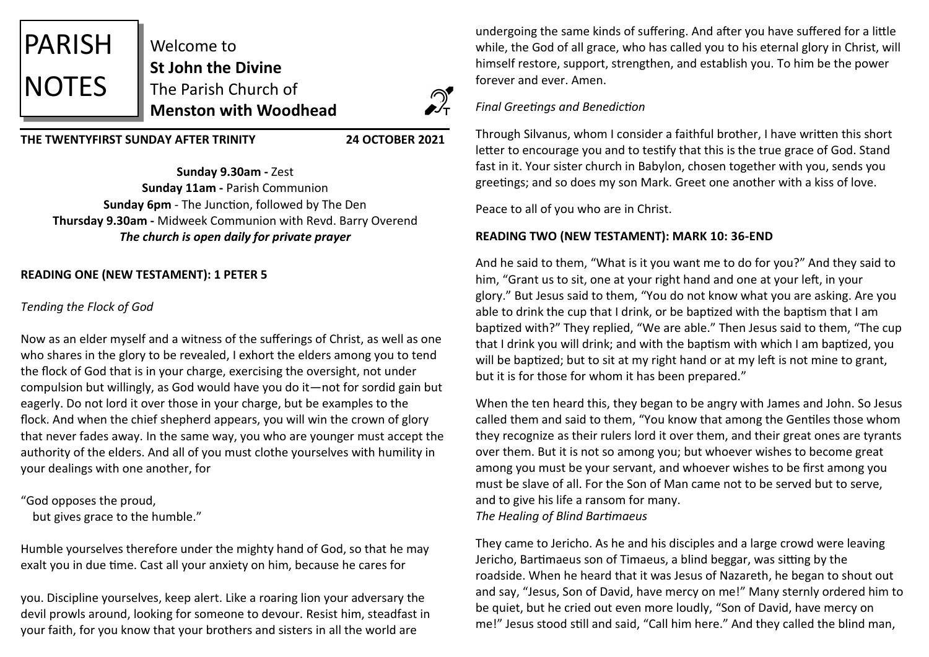

Welcome to **St John the Divine**  The Parish Church of **Menston with Woodhead**



**THE TWENTYFIRST SUNDAY AFTER TRINITY 24 OCTOBER 2021**

**Sunday 9.30am -** Zest **Sunday 11am -** Parish Communion **Sunday 6pm** - The Junction, followed by The Den **Thursday 9.30am -** Midweek Communion with Revd. Barry Overend *The church is open daily for private prayer*

# **READING ONE (NEW TESTAMENT): 1 PETER 5**

#### *Tending the Flock of God*

Now as an elder myself and a witness of the sufferings of Christ, as well as one who shares in the glory to be revealed, I exhort the elders among you to tend the flock of God that is in your charge, exercising the oversight, not under compulsion but willingly, as God would have you do it—not for sordid gain but eagerly. Do not lord it over those in your charge, but be examples to the flock. And when the chief shepherd appears, you will win the crown of glory that never fades away. In the same way, you who are younger must accept the authority of the elders. And all of you must clothe yourselves with humility in your dealings with one another, for

"God opposes the proud, but gives grace to the humble."

Humble yourselves therefore under the mighty hand of God, so that he may exalt you in due time. Cast all your anxiety on him, because he cares for

you. Discipline yourselves, keep alert. Like a roaring lion your adversary the devil prowls around, looking for someone to devour. Resist him, steadfast in your faith, for you know that your brothers and sisters in all the world are

undergoing the same kinds of suffering. And after you have suffered for a little while, the God of all grace, who has called you to his eternal glory in Christ, will himself restore, support, strengthen, and establish you. To him be the power forever and ever. Amen.

#### *Final Greetings and Benediction*

Through Silvanus, whom I consider a faithful brother, I have written this short letter to encourage you and to testify that this is the true grace of God. Stand fast in it. Your sister church in Babylon, chosen together with you, sends you greetings; and so does my son Mark. Greet one another with a kiss of love.

Peace to all of you who are in Christ.

#### **READING TWO (NEW TESTAMENT): MARK 10: 36-END**

And he said to them, "What is it you want me to do for you?" And they said to him, "Grant us to sit, one at your right hand and one at your left, in your glory." But Jesus said to them, "You do not know what you are asking. Are you able to drink the cup that I drink, or be baptized with the baptism that I am baptized with?" They replied, "We are able." Then Jesus said to them, "The cup that I drink you will drink; and with the baptism with which I am baptized, you will be baptized; but to sit at my right hand or at my left is not mine to grant, but it is for those for whom it has been prepared."

When the ten heard this, they began to be angry with James and John. So Jesus called them and said to them, "You know that among the Gentiles those whom they recognize as their rulers lord it over them, and their great ones are tyrants over them. But it is not so among you; but whoever wishes to become great among you must be your servant, and whoever wishes to be first among you must be slave of all. For the Son of Man came not to be served but to serve, and to give his life a ransom for many. *The Healing of Blind Bartimaeus*

They came to Jericho. As he and his disciples and a large crowd were leaving Jericho, Bartimaeus son of Timaeus, a blind beggar, was sitting by the roadside. When he heard that it was Jesus of Nazareth, he began to shout out and say, "Jesus, Son of David, have mercy on me!" Many sternly ordered him to be quiet, but he cried out even more loudly, "Son of David, have mercy on me!" Jesus stood still and said, "Call him here." And they called the blind man,